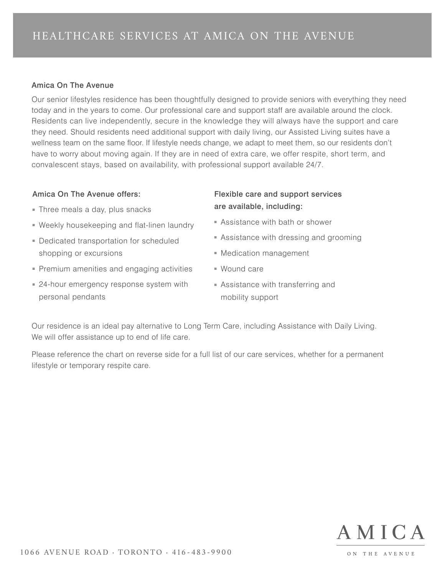## Amica On The Avenue

Our senior lifestyles residence has been thoughtfully designed to provide seniors with everything they need today and in the years to come. Our professional care and support staff are available around the clock. Residents can live independently, secure in the knowledge they will always have the support and care they need. Should residents need additional support with daily living, our Assisted Living suites have a wellness team on the same floor. If lifestyle needs change, we adapt to meet them, so our residents don't have to worry about moving again. If they are in need of extra care, we offer respite, short term, and convalescent stays, based on availability, with professional support available 24/7.

## Amica On The Avenue offers:

- Three meals a day, plus snacks
- Weekly housekeeping and flat-linen laundry
- Dedicated transportation for scheduled shopping or excursions
- Premium amenities and engaging activities
- 24-hour emergency response system with personal pendants

## Flexible care and support services are available, including:

- Assistance with bath or shower
- Assistance with dressing and grooming
- Medication management
- Wound care
- Assistance with transferring and mobility support

Our residence is an ideal pay alternative to Long Term Care, including Assistance with Daily Living. We will offer assistance up to end of life care.

Please reference the chart on reverse side for a full list of our care services, whether for a permanent lifestyle or temporary respite care.



ON THE AVENUE